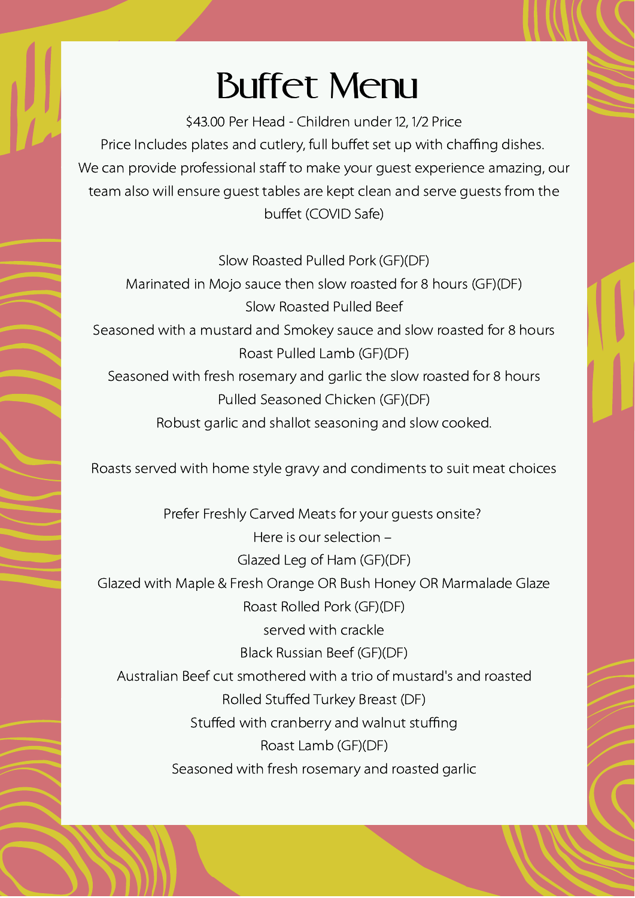## Buffet Menu

\$43.00 Per Head - Children under 12, 1/2 Price Price Includes plates and cutlery, full buffet set up with chaffing dishes. We can provide professional staff to make your guest experience amazing, our team also will ensure guest tables are kept clean and serve guests from the buffet (COVID Safe)

Slow Roasted Pulled Pork (GF)(DF)

Marinated in Mojo sauce then slow roasted for 8 hours (GF)(DF) Slow Roasted Pulled Beef Seasoned with a mustard and Smokey sauce and slow roasted for 8 hours Roast Pulled Lamb (GF)(DF) Seasoned with fresh rosemary and garlic the slow roasted for 8 hours Pulled Seasoned Chicken (GF)(DF) Robust garlic and shallot seasoning and slow cooked.

Roasts served with home style gravy and condiments to suit meat choices

Prefer Freshly Carved Meats for your guests onsite? Here is our selection – Glazed Leg of Ham (GF)(DF) Glazed with Maple & Fresh Orange OR Bush Honey OR Marmalade Glaze Roast Rolled Pork (GF)(DF) served with crackle Black Russian Beef (GF)(DF) Australian Beef cut smothered with a trio of mustard's and roasted Rolled Stuffed Turkey Breast (DF) Stuffed with cranberry and walnut stuffing Roast Lamb (GF)(DF) Seasoned with fresh rosemary and roasted garlic